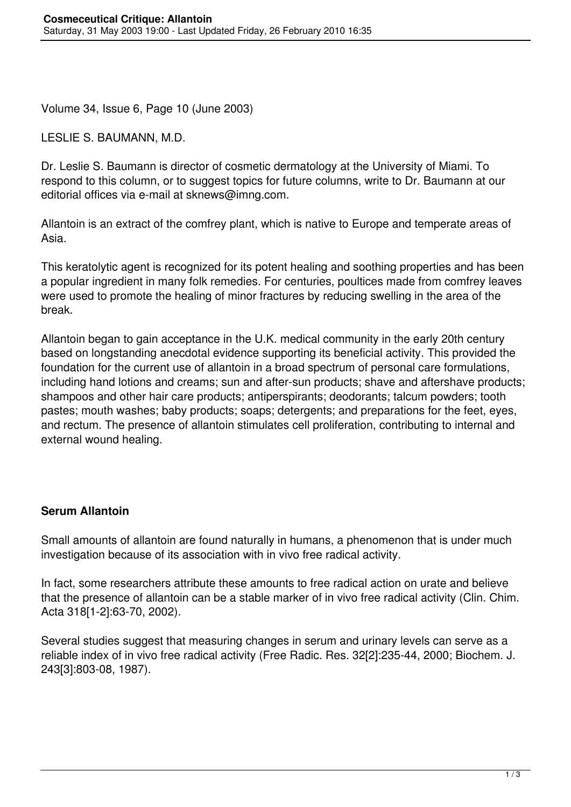Volume 34, Issue 6, Page 10 (June 2003)

LESLIE S. BAUMANN, M.D.

Dr. Leslie S. Baumann is director of cosmetic dermatology at the University of Miami. To respond to this column, or to suggest topics for future columns, write to Dr. Baumann at our editorial offices via e-mail at sknews@imng.com.

Allantoin is an extract of the comfrey plant, which is native to Europe and temperate areas of Asia.

This keratolytic agent is recognized for its potent healing and soothing properties and has been a popular ingredient in many folk remedies. For centuries, poultices made from comfrey leaves were used to promote the healing of minor fractures by reducing swelling in the area of the break.

Allantoin began to gain acceptance in the U.K. medical community in the early 20th century based on longstanding anecdotal evidence supporting its beneficial activity. This provided the foundation for the current use of allantoin in a broad spectrum of personal care formulations, including hand lotions and creams; sun and after-sun products; shave and aftershave products; shampoos and other hair care products; antiperspirants; deodorants; talcum powders; tooth pastes; mouth washes; baby products; soaps; detergents; and preparations for the feet, eyes, and rectum. The presence of allantoin stimulates cell proliferation, contributing to internal and external wound healing.

## **Serum Allantoin**

Small amounts of allantoin are found naturally in humans, a phenomenon that is under much investigation because of its association with in vivo free radical activity.

In fact, some researchers attribute these amounts to free radical action on urate and believe that the presence of allantoin can be a stable marker of in vivo free radical activity (Clin. Chim. Acta 318[1-2]:63-70, 2002).

Several studies suggest that measuring changes in serum and urinary levels can serve as a reliable index of in vivo free radical activity (Free Radic. Res. 32[2]:235-44, 2000; Biochem. J. 243[3]:803-08, 1987).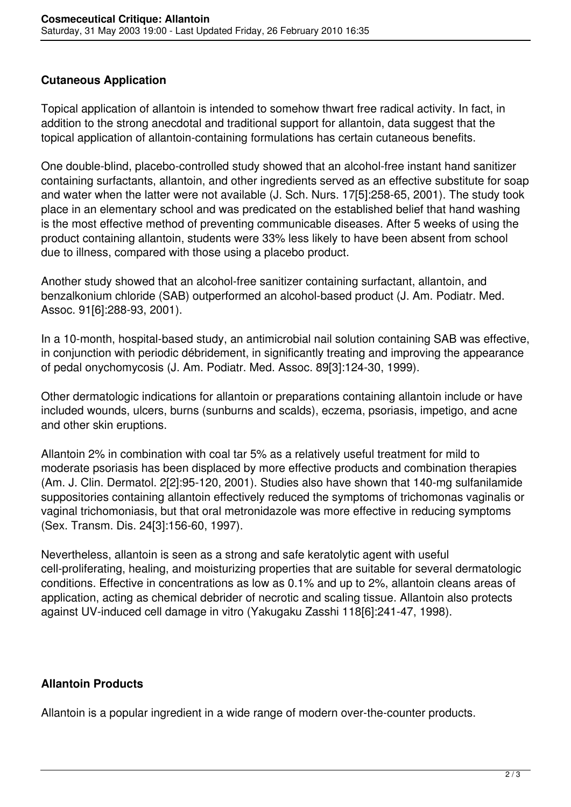## **Cutaneous Application**

Topical application of allantoin is intended to somehow thwart free radical activity. In fact, in addition to the strong anecdotal and traditional support for allantoin, data suggest that the topical application of allantoin-containing formulations has certain cutaneous benefits.

One double-blind, placebo-controlled study showed that an alcohol-free instant hand sanitizer containing surfactants, allantoin, and other ingredients served as an effective substitute for soap and water when the latter were not available (J. Sch. Nurs. 17[5]:258-65, 2001). The study took place in an elementary school and was predicated on the established belief that hand washing is the most effective method of preventing communicable diseases. After 5 weeks of using the product containing allantoin, students were 33% less likely to have been absent from school due to illness, compared with those using a placebo product.

Another study showed that an alcohol-free sanitizer containing surfactant, allantoin, and benzalkonium chloride (SAB) outperformed an alcohol-based product (J. Am. Podiatr. Med. Assoc. 91[6]:288-93, 2001).

In a 10-month, hospital-based study, an antimicrobial nail solution containing SAB was effective, in conjunction with periodic débridement, in significantly treating and improving the appearance of pedal onychomycosis (J. Am. Podiatr. Med. Assoc. 89[3]:124-30, 1999).

Other dermatologic indications for allantoin or preparations containing allantoin include or have included wounds, ulcers, burns (sunburns and scalds), eczema, psoriasis, impetigo, and acne and other skin eruptions.

Allantoin 2% in combination with coal tar 5% as a relatively useful treatment for mild to moderate psoriasis has been displaced by more effective products and combination therapies (Am. J. Clin. Dermatol. 2[2]:95-120, 2001). Studies also have shown that 140-mg sulfanilamide suppositories containing allantoin effectively reduced the symptoms of trichomonas vaginalis or vaginal trichomoniasis, but that oral metronidazole was more effective in reducing symptoms (Sex. Transm. Dis. 24[3]:156-60, 1997).

Nevertheless, allantoin is seen as a strong and safe keratolytic agent with useful cell-proliferating, healing, and moisturizing properties that are suitable for several dermatologic conditions. Effective in concentrations as low as 0.1% and up to 2%, allantoin cleans areas of application, acting as chemical debrider of necrotic and scaling tissue. Allantoin also protects against UV-induced cell damage in vitro (Yakugaku Zasshi 118[6]:241-47, 1998).

## **Allantoin Products**

Allantoin is a popular ingredient in a wide range of modern over-the-counter products.